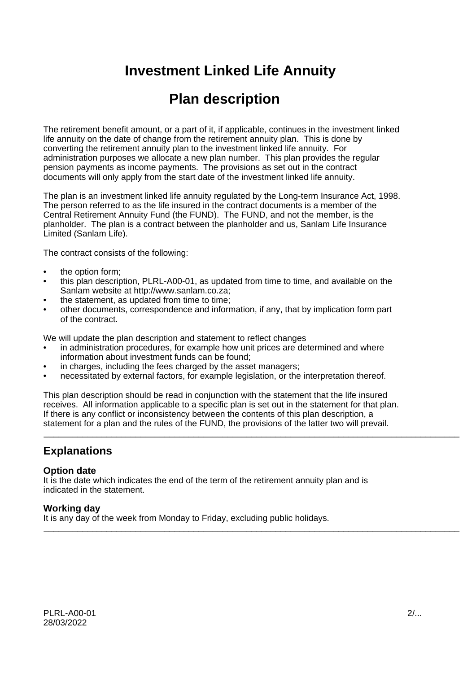# **Investment Linked Life Annuity**

# **Plan description**

The retirement benefit amount, or a part of it, if applicable, continues in the investment linked life annuity on the date of change from the retirement annuity plan. This is done by converting the retirement annuity plan to the investment linked life annuity. For administration purposes we allocate a new plan number. This plan provides the regular pension payments as income payments. The provisions as set out in the contract documents will only apply from the start date of the investment linked life annuity.

The plan is an investment linked life annuity regulated by the Long-term Insurance Act, 1998. The person referred to as the life insured in the contract documents is a member of the Central Retirement Annuity Fund (the FUND). The FUND, and not the member, is the planholder. The plan is a contract between the planholder and us, Sanlam Life Insurance Limited (Sanlam Life).

The contract consists of the following:

- the option form:
- this plan description, PLRL-A00-01, as updated from time to time, and available on the Sanlam website at http://www.sanlam.co.za;
- the statement, as updated from time to time;
- other documents, correspondence and information, if any, that by implication form part of the contract.

We will update the plan description and statement to reflect changes

- in administration procedures, for example how unit prices are determined and where information about investment funds can be found;
- in charges, including the fees charged by the asset managers;
- necessitated by external factors, for example legislation, or the interpretation thereof.

This plan description should be read in conjunction with the statement that the life insured receives. All information applicable to a specific plan is set out in the statement for that plan. If there is any conflict or inconsistency between the contents of this plan description, a statement for a plan and the rules of the FUND, the provisions of the latter two will prevail.

\_\_\_\_\_\_\_\_\_\_\_\_\_\_\_\_\_\_\_\_\_\_\_\_\_\_\_\_\_\_\_\_\_\_\_\_\_\_\_\_\_\_\_\_\_\_\_\_\_\_\_\_\_\_\_\_\_\_\_\_\_\_\_\_\_\_\_\_\_\_\_\_\_\_\_\_\_\_\_\_\_\_\_\_\_\_

# **Explanations**

#### **Option date**

It is the date which indicates the end of the term of the retirement annuity plan and is indicated in the statement.

#### **Working day**

It is any day of the week from Monday to Friday, excluding public holidays. \_\_\_\_\_\_\_\_\_\_\_\_\_\_\_\_\_\_\_\_\_\_\_\_\_\_\_\_\_\_\_\_\_\_\_\_\_\_\_\_\_\_\_\_\_\_\_\_\_\_\_\_\_\_\_\_\_\_\_\_\_\_\_\_\_\_\_\_\_\_\_\_\_\_\_\_\_\_\_\_\_\_\_\_\_\_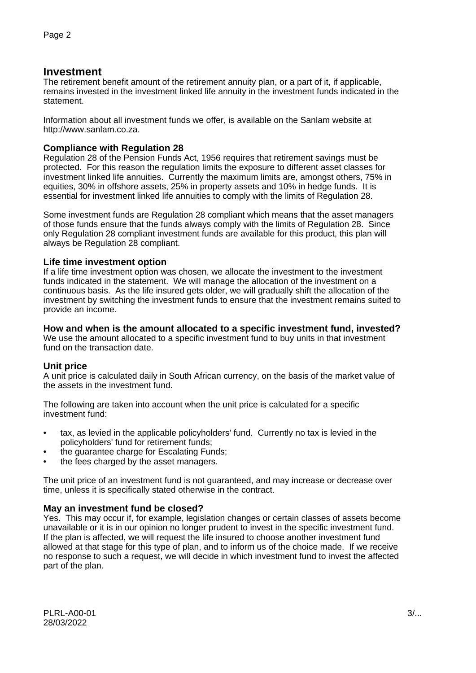# **Investment**

The retirement benefit amount of the retirement annuity plan, or a part of it, if applicable, remains invested in the investment linked life annuity in the investment funds indicated in the statement.

Information about all investment funds we offer, is available on the Sanlam website at http://www.sanlam.co.za.

# **Compliance with Regulation 28**

Regulation 28 of the Pension Funds Act, 1956 requires that retirement savings must be protected. For this reason the regulation limits the exposure to different asset classes for investment linked life annuities. Currently the maximum limits are, amongst others, 75% in equities, 30% in offshore assets, 25% in property assets and 10% in hedge funds. It is essential for investment linked life annuities to comply with the limits of Regulation 28.

Some investment funds are Regulation 28 compliant which means that the asset managers of those funds ensure that the funds always comply with the limits of Regulation 28. Since only Regulation 28 compliant investment funds are available for this product, this plan will always be Regulation 28 compliant.

#### **Life time investment option**

If a life time investment option was chosen, we allocate the investment to the investment funds indicated in the statement. We will manage the allocation of the investment on a continuous basis. As the life insured gets older, we will gradually shift the allocation of the investment by switching the investment funds to ensure that the investment remains suited to provide an income.

#### **How and when is the amount allocated to a specific investment fund, invested?**

We use the amount allocated to a specific investment fund to buy units in that investment fund on the transaction date.

# **Unit price**

A unit price is calculated daily in South African currency, on the basis of the market value of the assets in the investment fund.

The following are taken into account when the unit price is calculated for a specific investment fund:

- tax, as levied in the applicable policyholders' fund. Currently no tax is levied in the policyholders' fund for retirement funds;
- the guarantee charge for Escalating Funds;
- the fees charged by the asset managers.

The unit price of an investment fund is not guaranteed, and may increase or decrease over time, unless it is specifically stated otherwise in the contract.

# **May an investment fund be closed?**

Yes. This may occur if, for example, legislation changes or certain classes of assets become unavailable or it is in our opinion no longer prudent to invest in the specific investment fund. If the plan is affected, we will request the life insured to choose another investment fund allowed at that stage for this type of plan, and to inform us of the choice made. If we receive no response to such a request, we will decide in which investment fund to invest the affected part of the plan.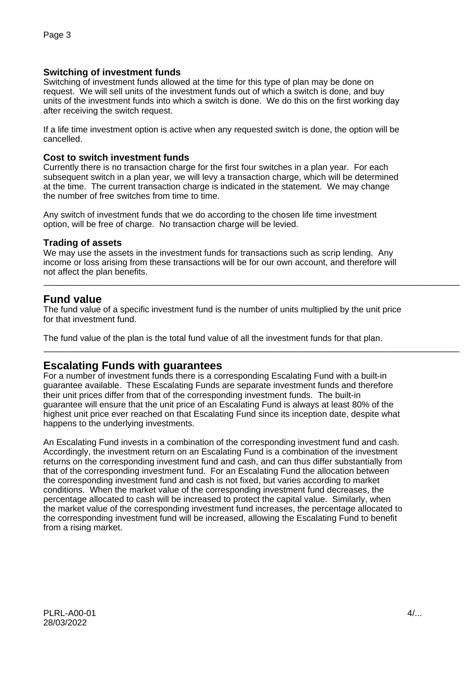## **Switching of investment funds**

Switching of investment funds allowed at the time for this type of plan may be done on request. We will sell units of the investment funds out of which a switch is done, and buy units of the investment funds into which a switch is done. We do this on the first working day after receiving the switch request.

If a life time investment option is active when any requested switch is done, the option will be cancelled.

#### **Cost to switch investment funds**

Currently there is no transaction charge for the first four switches in a plan year. For each subsequent switch in a plan year, we will levy a transaction charge, which will be determined at the time. The current transaction charge is indicated in the statement. We may change the number of free switches from time to time.

Any switch of investment funds that we do according to the chosen life time investment option, will be free of charge. No transaction charge will be levied.

#### **Trading of assets**

We may use the assets in the investment funds for transactions such as scrip lending. Any income or loss arising from these transactions will be for our own account, and therefore will not affect the plan benefits.

\_\_\_\_\_\_\_\_\_\_\_\_\_\_\_\_\_\_\_\_\_\_\_\_\_\_\_\_\_\_\_\_\_\_\_\_\_\_\_\_\_\_\_\_\_\_\_\_\_\_\_\_\_\_\_\_\_\_\_\_\_\_\_\_\_\_\_\_\_\_\_\_\_\_\_\_\_\_\_\_\_\_\_\_\_\_

\_\_\_\_\_\_\_\_\_\_\_\_\_\_\_\_\_\_\_\_\_\_\_\_\_\_\_\_\_\_\_\_\_\_\_\_\_\_\_\_\_\_\_\_\_\_\_\_\_\_\_\_\_\_\_\_\_\_\_\_\_\_\_\_\_\_\_\_\_\_\_\_\_\_\_\_\_\_\_\_\_\_\_\_\_\_

# **Fund value**

The fund value of a specific investment fund is the number of units multiplied by the unit price for that investment fund.

The fund value of the plan is the total fund value of all the investment funds for that plan.

# **Escalating Funds with guarantees**

For a number of investment funds there is a corresponding Escalating Fund with a built-in guarantee available. These Escalating Funds are separate investment funds and therefore their unit prices differ from that of the corresponding investment funds. The built-in guarantee will ensure that the unit price of an Escalating Fund is always at least 80% of the highest unit price ever reached on that Escalating Fund since its inception date, despite what happens to the underlying investments.

An Escalating Fund invests in a combination of the corresponding investment fund and cash. Accordingly, the investment return on an Escalating Fund is a combination of the investment returns on the corresponding investment fund and cash, and can thus differ substantially from that of the corresponding investment fund. For an Escalating Fund the allocation between the corresponding investment fund and cash is not fixed, but varies according to market conditions. When the market value of the corresponding investment fund decreases, the percentage allocated to cash will be increased to protect the capital value. Similarly, when the market value of the corresponding investment fund increases, the percentage allocated to the corresponding investment fund will be increased, allowing the Escalating Fund to benefit from a rising market.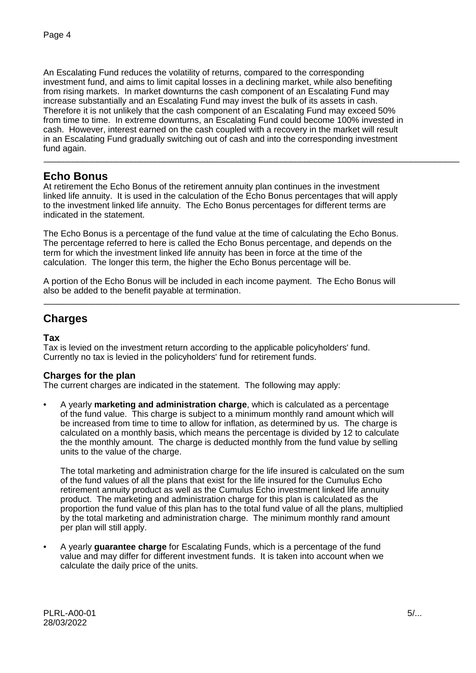An Escalating Fund reduces the volatility of returns, compared to the corresponding investment fund, and aims to limit capital losses in a declining market, while also benefiting from rising markets. In market downturns the cash component of an Escalating Fund may increase substantially and an Escalating Fund may invest the bulk of its assets in cash. Therefore it is not unlikely that the cash component of an Escalating Fund may exceed 50% from time to time. In extreme downturns, an Escalating Fund could become 100% invested in cash. However, interest earned on the cash coupled with a recovery in the market will result in an Escalating Fund gradually switching out of cash and into the corresponding investment fund again. \_\_\_\_\_\_\_\_\_\_\_\_\_\_\_\_\_\_\_\_\_\_\_\_\_\_\_\_\_\_\_\_\_\_\_\_\_\_\_\_\_\_\_\_\_\_\_\_\_\_\_\_\_\_\_\_\_\_\_\_\_\_\_\_\_\_\_\_\_\_\_\_\_\_\_\_\_\_\_\_\_\_\_\_\_\_

# **Echo Bonus**

At retirement the Echo Bonus of the retirement annuity plan continues in the investment linked life annuity. It is used in the calculation of the Echo Bonus percentages that will apply to the investment linked life annuity. The Echo Bonus percentages for different terms are indicated in the statement.

The Echo Bonus is a percentage of the fund value at the time of calculating the Echo Bonus. The percentage referred to here is called the Echo Bonus percentage, and depends on the term for which the investment linked life annuity has been in force at the time of the calculation. The longer this term, the higher the Echo Bonus percentage will be.

A portion of the Echo Bonus will be included in each income payment. The Echo Bonus will also be added to the benefit payable at termination.

\_\_\_\_\_\_\_\_\_\_\_\_\_\_\_\_\_\_\_\_\_\_\_\_\_\_\_\_\_\_\_\_\_\_\_\_\_\_\_\_\_\_\_\_\_\_\_\_\_\_\_\_\_\_\_\_\_\_\_\_\_\_\_\_\_\_\_\_\_\_\_\_\_\_\_\_\_\_\_\_\_\_\_\_\_\_

# **Charges**

## **Tax**

Tax is levied on the investment return according to the applicable policyholders' fund. Currently no tax is levied in the policyholders' fund for retirement funds.

# **Charges for the plan**

The current charges are indicated in the statement. The following may apply:

• A yearly **marketing and administration charge**, which is calculated as a percentage of the fund value. This charge is subject to a minimum monthly rand amount which will be increased from time to time to allow for inflation, as determined by us. The charge is calculated on a monthly basis, which means the percentage is divided by 12 to calculate the the monthly amount. The charge is deducted monthly from the fund value by selling units to the value of the charge.

The total marketing and administration charge for the life insured is calculated on the sum of the fund values of all the plans that exist for the life insured for the Cumulus Echo retirement annuity product as well as the Cumulus Echo investment linked life annuity product. The marketing and administration charge for this plan is calculated as the proportion the fund value of this plan has to the total fund value of all the plans, multiplied by the total marketing and administration charge. The minimum monthly rand amount per plan will still apply.

• A yearly **guarantee charge** for Escalating Funds, which is a percentage of the fund value and may differ for different investment funds. It is taken into account when we calculate the daily price of the units.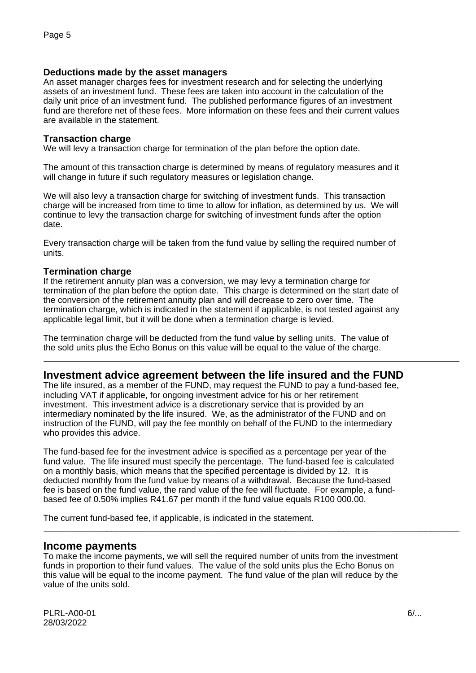#### **Deductions made by the asset managers**

An asset manager charges fees for investment research and for selecting the underlying assets of an investment fund. These fees are taken into account in the calculation of the daily unit price of an investment fund. The published performance figures of an investment fund are therefore net of these fees. More information on these fees and their current values are available in the statement.

#### **Transaction charge**

We will levy a transaction charge for termination of the plan before the option date.

The amount of this transaction charge is determined by means of regulatory measures and it will change in future if such regulatory measures or legislation change.

We will also levy a transaction charge for switching of investment funds. This transaction charge will be increased from time to time to allow for inflation, as determined by us. We will continue to levy the transaction charge for switching of investment funds after the option date.

Every transaction charge will be taken from the fund value by selling the required number of units.

#### **Termination charge**

If the retirement annuity plan was a conversion, we may levy a termination charge for termination of the plan before the option date. This charge is determined on the start date of the conversion of the retirement annuity plan and will decrease to zero over time. The termination charge, which is indicated in the statement if applicable, is not tested against any applicable legal limit, but it will be done when a termination charge is levied.

The termination charge will be deducted from the fund value by selling units. The value of the sold units plus the Echo Bonus on this value will be equal to the value of the charge.

# **Investment advice agreement between the life insured and the FUND**

\_\_\_\_\_\_\_\_\_\_\_\_\_\_\_\_\_\_\_\_\_\_\_\_\_\_\_\_\_\_\_\_\_\_\_\_\_\_\_\_\_\_\_\_\_\_\_\_\_\_\_\_\_\_\_\_\_\_\_\_\_\_\_\_\_\_\_\_\_\_\_\_\_\_\_\_\_\_\_\_\_\_\_\_\_\_

\_\_\_\_\_\_\_\_\_\_\_\_\_\_\_\_\_\_\_\_\_\_\_\_\_\_\_\_\_\_\_\_\_\_\_\_\_\_\_\_\_\_\_\_\_\_\_\_\_\_\_\_\_\_\_\_\_\_\_\_\_\_\_\_\_\_\_\_\_\_\_\_\_\_\_\_\_\_\_\_\_\_\_\_\_\_

The life insured, as a member of the FUND, may request the FUND to pay a fund-based fee, including VAT if applicable, for ongoing investment advice for his or her retirement investment. This investment advice is a discretionary service that is provided by an intermediary nominated by the life insured. We, as the administrator of the FUND and on instruction of the FUND, will pay the fee monthly on behalf of the FUND to the intermediary who provides this advice.

The fund-based fee for the investment advice is specified as a percentage per year of the fund value. The life insured must specify the percentage. The fund-based fee is calculated on a monthly basis, which means that the specified percentage is divided by 12. It is deducted monthly from the fund value by means of a withdrawal. Because the fund-based fee is based on the fund value, the rand value of the fee will fluctuate. For example, a fundbased fee of 0.50% implies R41.67 per month if the fund value equals R100 000.00.

The current fund-based fee, if applicable, is indicated in the statement.

#### **Income payments**

To make the income payments, we will sell the required number of units from the investment funds in proportion to their fund values. The value of the sold units plus the Echo Bonus on this value will be equal to the income payment. The fund value of the plan will reduce by the value of the units sold.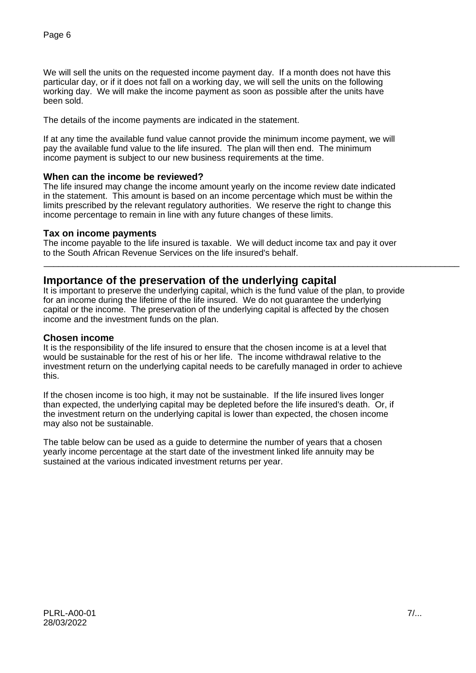We will sell the units on the requested income payment day. If a month does not have this particular day, or if it does not fall on a working day, we will sell the units on the following working day. We will make the income payment as soon as possible after the units have been sold.

The details of the income payments are indicated in the statement.

If at any time the available fund value cannot provide the minimum income payment, we will pay the available fund value to the life insured. The plan will then end. The minimum income payment is subject to our new business requirements at the time.

#### **When can the income be reviewed?**

The life insured may change the income amount yearly on the income review date indicated in the statement. This amount is based on an income percentage which must be within the limits prescribed by the relevant regulatory authorities. We reserve the right to change this income percentage to remain in line with any future changes of these limits.

#### **Tax on income payments**

The income payable to the life insured is taxable. We will deduct income tax and pay it over to the South African Revenue Services on the life insured's behalf.

\_\_\_\_\_\_\_\_\_\_\_\_\_\_\_\_\_\_\_\_\_\_\_\_\_\_\_\_\_\_\_\_\_\_\_\_\_\_\_\_\_\_\_\_\_\_\_\_\_\_\_\_\_\_\_\_\_\_\_\_\_\_\_\_\_\_\_\_\_\_\_\_\_\_\_\_\_\_\_\_\_\_\_\_\_\_

# **Importance of the preservation of the underlying capital**

It is important to preserve the underlying capital, which is the fund value of the plan, to provide for an income during the lifetime of the life insured. We do not guarantee the underlying capital or the income. The preservation of the underlying capital is affected by the chosen income and the investment funds on the plan.

#### **Chosen income**

It is the responsibility of the life insured to ensure that the chosen income is at a level that would be sustainable for the rest of his or her life. The income withdrawal relative to the investment return on the underlying capital needs to be carefully managed in order to achieve this.

If the chosen income is too high, it may not be sustainable. If the life insured lives longer than expected, the underlying capital may be depleted before the life insured's death. Or, if the investment return on the underlying capital is lower than expected, the chosen income may also not be sustainable.

The table below can be used as a guide to determine the number of years that a chosen yearly income percentage at the start date of the investment linked life annuity may be sustained at the various indicated investment returns per year.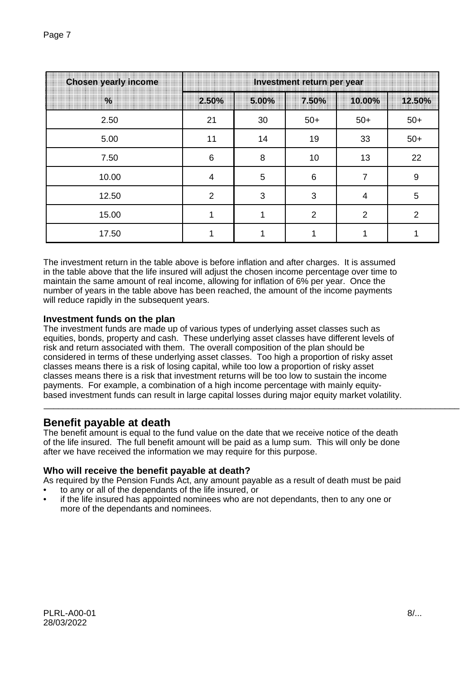| <b>Chosen yearly income</b> | Investment return per year |       |       |                |                |
|-----------------------------|----------------------------|-------|-------|----------------|----------------|
| $\frac{0}{6}$               | 2.50%                      | 5.00% | 7.50% | 10.00%         | 12.50%         |
| 2.50                        | 21                         | 30    | $50+$ | $50+$          | $50+$          |
| 5.00                        | 11                         | 14    | 19    | 33             | $50+$          |
| 7.50                        | $6\phantom{1}6$            | 8     | 10    | 13             | 22             |
| 10.00                       | 4                          | 5     | 6     |                | 9              |
| 12.50                       | $\overline{2}$             | 3     | 3     | 4              | $\sqrt{5}$     |
| 15.00                       |                            |       | 2     | $\overline{2}$ | $\overline{2}$ |
| 17.50                       |                            |       |       |                |                |

The investment return in the table above is before inflation and after charges. It is assumed in the table above that the life insured will adjust the chosen income percentage over time to maintain the same amount of real income, allowing for inflation of 6% per year. Once the number of years in the table above has been reached, the amount of the income payments will reduce rapidly in the subsequent years.

# **Investment funds on the plan**

The investment funds are made up of various types of underlying asset classes such as equities, bonds, property and cash. These underlying asset classes have different levels of risk and return associated with them. The overall composition of the plan should be considered in terms of these underlying asset classes. Too high a proportion of risky asset classes means there is a risk of losing capital, while too low a proportion of risky asset classes means there is a risk that investment returns will be too low to sustain the income payments. For example, a combination of a high income percentage with mainly equitybased investment funds can result in large capital losses during major equity market volatility.

# **Benefit payable at death**

The benefit amount is equal to the fund value on the date that we receive notice of the death of the life insured. The full benefit amount will be paid as a lump sum. This will only be done after we have received the information we may require for this purpose.

\_\_\_\_\_\_\_\_\_\_\_\_\_\_\_\_\_\_\_\_\_\_\_\_\_\_\_\_\_\_\_\_\_\_\_\_\_\_\_\_\_\_\_\_\_\_\_\_\_\_\_\_\_\_\_\_\_\_\_\_\_\_\_\_\_\_\_\_\_\_\_\_\_\_\_\_\_\_\_\_\_\_\_\_\_\_

# **Who will receive the benefit payable at death?**

As required by the Pension Funds Act, any amount payable as a result of death must be paid

- to any or all of the dependants of the life insured, or
- if the life insured has appointed nominees who are not dependants, then to any one or more of the dependants and nominees.